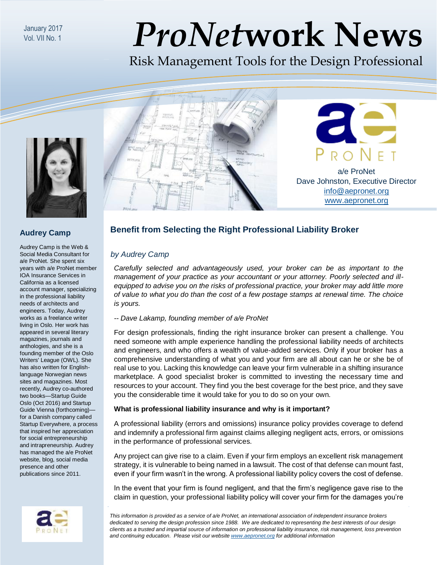January 2017 Vol. VII No. 1

# *ProNet***work News**

Risk Management Tools for the Design Professional



#### **Audrey Camp**

Audrey Camp is the Web & Social Media Consultant for a/e ProNet. She spent six years with a/e ProNet member IOA Insurance Services in California as a licensed account manager, specializing in the professional liability needs of architects and engineers. Today, Audrey works as a freelance writer living in Oslo. Her work has appeared in several literary magazines, journals and anthologies, and she is a founding member of the Oslo Writers' League (OWL). She has also written for Englishlanguage Norwegian news sites and magazines. Most recently, Audrey co-authored two books—Startup Guide Oslo (Oct 2016) and Startup Guide Vienna (forthcoming) for a Danish company called Startup Everywhere, a process that inspired her appreciation for social entrepreneurship and intrapreneurship. Audrey has managed the a/e ProNet website, blog, social media presence and other publications since 2011.





#### **Benefit from Selecting the Right Professional Liability Broker**

#### *by Audrey Camp*

*Carefully selected and advantageously used, your broker can be as important to the management of your practice as your accountant or your attorney. Poorly selected and illequipped to advise you on the risks of professional practice, your broker may add little more of value to what you do than the cost of a few postage stamps at renewal time. The choice is yours.*

#### *-- Dave Lakamp, founding member of a/e ProNet*

For design professionals, finding the right insurance broker can present a challenge. You need someone with ample experience handling the professional liability needs of architects and engineers, and who offers a wealth of value-added services. Only if your broker has a comprehensive understanding of what you and your firm are all about can he or she be of real use to you. Lacking this knowledge can leave your firm vulnerable in a shifting insurance marketplace. A good specialist broker is committed to investing the necessary time and resources to your account. They find you the best coverage for the best price, and they save you the considerable time it would take for you to do so on your own.

#### **What is professional liability insurance and why is it important?**

A professional liability (errors and omissions) insurance policy provides coverage to defend and indemnify a professional firm against claims alleging negligent acts, errors, or omissions in the performance of professional services.

Any project can give rise to a claim. Even if your firm employs an excellent risk management strategy, it is vulnerable to being named in a lawsuit. The cost of that defense can mount fast, even if your firm wasn't in the wrong. A professional liability policy covers the cost of defense.

In the event that your firm is found negligent, and that the firm's negligence gave rise to the claim in question, your professional liability policy will cover your firm for the damages you're

*This information is provided as a service of a/e ProNet, an international association of independent insurance brokers dedicated to serving the design profession since 1988. We are dedicated to representing the best interests of our design clients as a trusted and impartial source of information on professional liability insurance, risk management, loss prevention and continuing education. Please visit our website [www.aepronet.org](http://www.aepronet.org/) for additional information*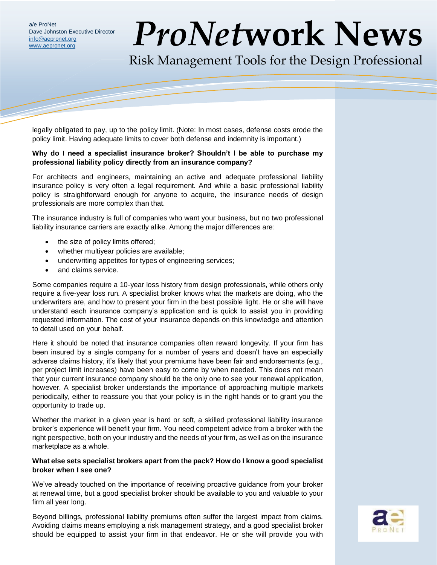a/e ProNet Dave Johnston Executive Director [info@aepronet.org](mailto:info@aepronet.org) [www.aepronet.org](http://www.aepronet.org/)

### *ProNet***work News**

Risk Management Tools for the Design Professional

legally obligated to pay, up to the policy limit. (Note: In most cases, defense costs erode the policy limit. Having adequate limits to cover both defense and indemnity is important.)

#### **Why do I need a specialist insurance broker? Shouldn't I be able to purchase my professional liability policy directly from an insurance company?**

For architects and engineers, maintaining an active and adequate professional liability insurance policy is very often a legal requirement. And while a basic professional liability policy is straightforward enough for anyone to acquire, the insurance needs of design professionals are more complex than that.

The insurance industry is full of companies who want your business, but no two professional liability insurance carriers are exactly alike. Among the major differences are:

- the size of policy limits offered;
- whether multiyear policies are available;
- underwriting appetites for types of engineering services;
- and claims service.

Some companies require a 10-year loss history from design professionals, while others only require a five-year loss run. A specialist broker knows what the markets are doing, who the underwriters are, and how to present your firm in the best possible light. He or she will have understand each insurance company's application and is quick to assist you in providing requested information. The cost of your insurance depends on this knowledge and attention to detail used on your behalf.

Here it should be noted that insurance companies often reward longevity. If your firm has been insured by a single company for a number of years and doesn't have an especially adverse claims history, it's likely that your premiums have been fair and endorsements (e.g., per project limit increases) have been easy to come by when needed. This does not mean that your current insurance company should be the only one to see your renewal application, however. A specialist broker understands the importance of approaching multiple markets periodically, either to reassure you that your policy is in the right hands or to grant you the opportunity to trade up.

Whether the market in a given year is hard or soft, a skilled professional liability insurance broker's experience will benefit your firm. You need competent advice from a broker with the right perspective, both on your industry and the needs of your firm, as well as on the insurance marketplace as a whole.

#### **What else sets specialist brokers apart from the pack? How do I know a good specialist broker when I see one?**

We've already touched on the importance of receiving proactive guidance from your broker at renewal time, but a good specialist broker should be available to you and valuable to your firm all year long.

Beyond billings, professional liability premiums often suffer the largest impact from claims. Avoiding claims means employing a risk management strategy, and a good specialist broker should be equipped to assist your firm in that endeavor. He or she will provide you with

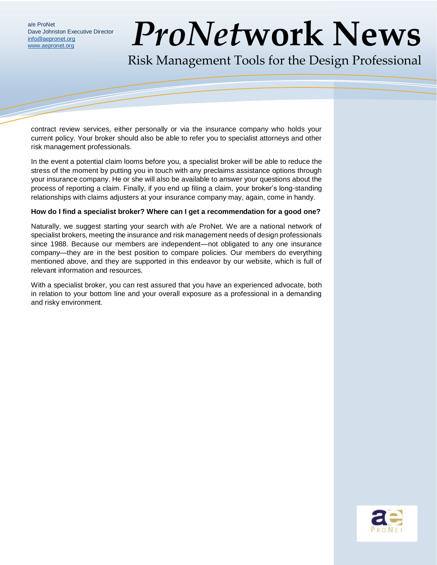a/e ProNet Dave Johnston Executive Director [info@aepronet.org](mailto:info@aepronet.org) [www.aepronet.org](http://www.aepronet.org/)

## *ProNet***work News**

Risk Management Tools for the Design Professional

contract review services, either personally or via the insurance company who holds your current policy. Your broker should also be able to refer you to specialist attorneys and other risk management professionals.

In the event a potential claim looms before you, a specialist broker will be able to reduce the stress of the moment by putting you in touch with any preclaims assistance options through your insurance company. He or she will also be available to answer your questions about the process of reporting a claim. Finally, if you end up filing a claim, your broker's long-standing relationships with claims adjusters at your insurance company may, again, come in handy.

#### **How do I find a specialist broker? Where can I get a recommendation for a good one?**

Naturally, we suggest starting your search with a/e ProNet. We are a national network of specialist brokers, meeting the insurance and risk management needs of design professionals since 1988. Because our members are independent—not obligated to any one insurance company—they are in the best position to compare policies. Our members do everything mentioned above, and they are supported in this endeavor by our website, which is full of relevant information and resources.

With a specialist broker, you can rest assured that you have an experienced advocate, both in relation to your bottom line and your overall exposure as a professional in a demanding and risky environment.